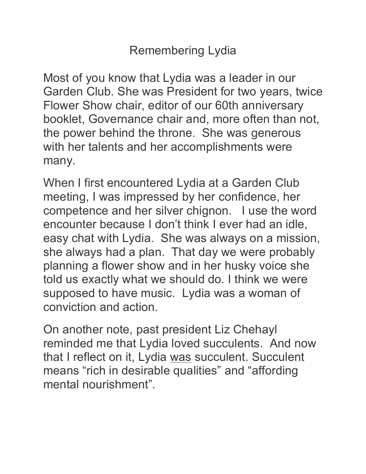## Remembering Lydia

Most of you know that Lydia was a leader in our Garden Club. She was President for two years, twice Flower Show chair, editor of our 60th anniversary booklet, Governance chair and, more often than not, the power behind the throne. She was generous with her talents and her accomplishments were many.

When I first encountered Lydia at a Garden Club meeting, I was impressed by her confidence, her competence and her silver chignon. I use the word encounter because I don't think I ever had an idle, easy chat with Lydia. She was always on a mission, she always had a plan. That day we were probably planning a flower show and in her husky voice she told us exactly what we should do. I think we were supposed to have music. Lydia was a woman of conviction and action.

On another note, past president Liz Chehayl reminded me that Lydia loved succulents. And now that I reflect on it, Lydia was succulent. Succulent means "rich in desirable qualities" and "affording mental nourishment".